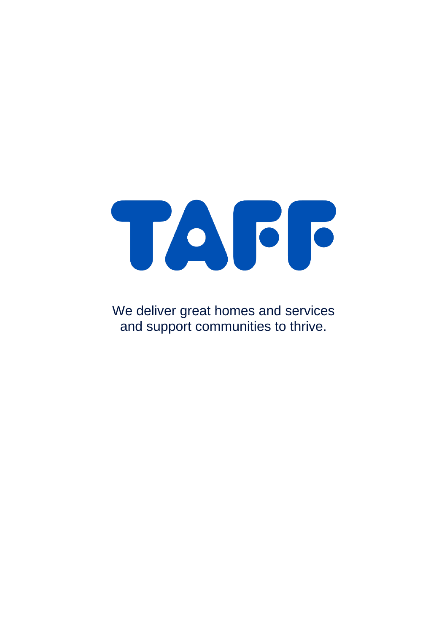# TAGG

We deliver great homes and services and support communities to thrive.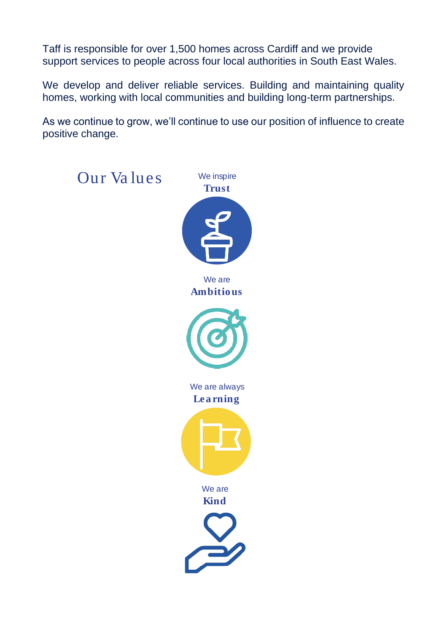Taff is responsible for over 1,500 homes across Cardiff and we provide support services to people across four local authorities in South East Wales.

We develop and deliver reliable services. Building and maintaining quality homes, working with local communities and building long-term partnerships.

As we continue to grow, we'll continue to use our position of influence to create positive change.

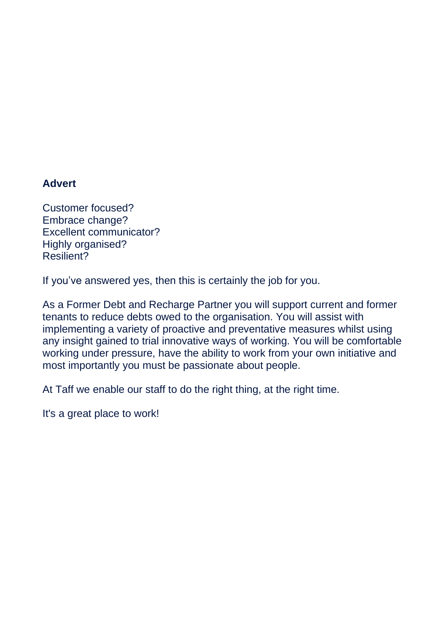#### **Advert**

Customer focused? Embrace change? Excellent communicator? Highly organised? Resilient?

If you've answered yes, then this is certainly the job for you.

As a Former Debt and Recharge Partner you will support current and former tenants to reduce debts owed to the organisation. You will assist with implementing a variety of proactive and preventative measures whilst using any insight gained to trial innovative ways of working. You will be comfortable working under pressure, have the ability to work from your own initiative and most importantly you must be passionate about people.

At Taff we enable our staff to do the right thing, at the right time.

It's a great place to work!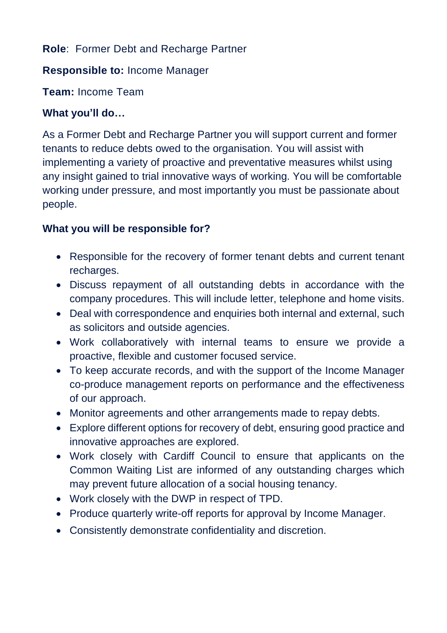# **Role**: Former Debt and Recharge Partner

### **Responsible to:** Income Manager

**Team:** Income Team

# **What you'll do…**

As a Former Debt and Recharge Partner you will support current and former tenants to reduce debts owed to the organisation. You will assist with implementing a variety of proactive and preventative measures whilst using any insight gained to trial innovative ways of working. You will be comfortable working under pressure, and most importantly you must be passionate about people.

# **What you will be responsible for?**

- Responsible for the recovery of former tenant debts and current tenant recharges.
- Discuss repayment of all outstanding debts in accordance with the company procedures. This will include letter, telephone and home visits.
- Deal with correspondence and enquiries both internal and external, such as solicitors and outside agencies.
- Work collaboratively with internal teams to ensure we provide a proactive, flexible and customer focused service.
- To keep accurate records, and with the support of the Income Manager co-produce management reports on performance and the effectiveness of our approach.
- Monitor agreements and other arrangements made to repay debts.
- Explore different options for recovery of debt, ensuring good practice and innovative approaches are explored.
- Work closely with Cardiff Council to ensure that applicants on the Common Waiting List are informed of any outstanding charges which may prevent future allocation of a social housing tenancy.
- Work closely with the DWP in respect of TPD.
- Produce quarterly write-off reports for approval by Income Manager.
- Consistently demonstrate confidentiality and discretion.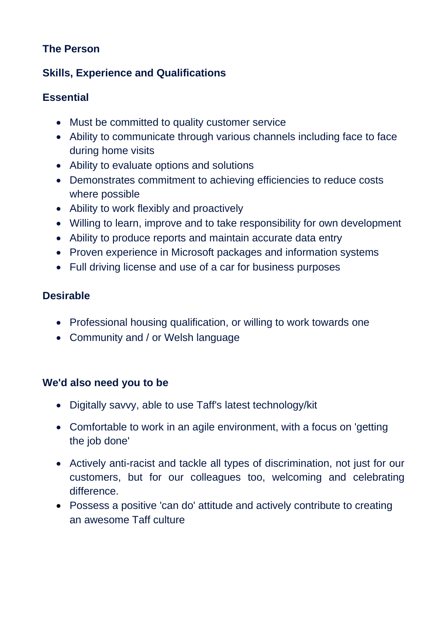# **The Person**

# **Skills, Experience and Qualifications**

### **Essential**

- Must be committed to quality customer service
- Ability to communicate through various channels including face to face during home visits
- Ability to evaluate options and solutions
- Demonstrates commitment to achieving efficiencies to reduce costs where possible
- Ability to work flexibly and proactively
- Willing to learn, improve and to take responsibility for own development
- Ability to produce reports and maintain accurate data entry
- Proven experience in Microsoft packages and information systems
- Full driving license and use of a car for business purposes

### **Desirable**

- Professional housing qualification, or willing to work towards one
- Community and / or Welsh language

# **We'd also need you to be**

- Digitally savvy, able to use Taff's latest technology/kit
- Comfortable to work in an agile environment, with a focus on 'getting the job done'
- Actively anti-racist and tackle all types of discrimination, not just for our customers, but for our colleagues too, welcoming and celebrating difference.
- Possess a positive 'can do' attitude and actively contribute to creating an awesome Taff culture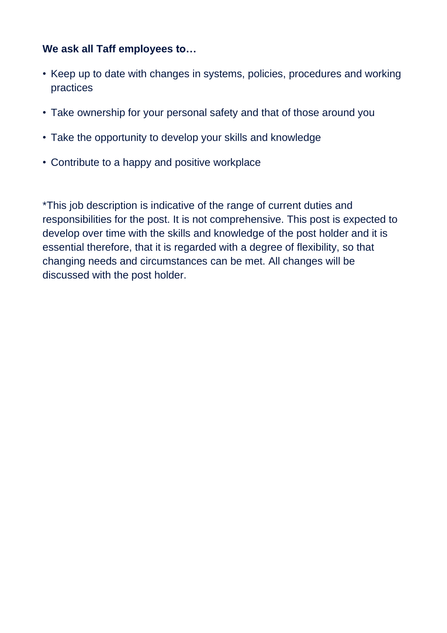# **We ask all Taff employees to…**

- Keep up to date with changes in systems, policies, procedures and working practices
- Take ownership for your personal safety and that of those around you
- Take the opportunity to develop your skills and knowledge
- Contribute to a happy and positive workplace

\*This job description is indicative of the range of current duties and responsibilities for the post. It is not comprehensive. This post is expected to develop over time with the skills and knowledge of the post holder and it is essential therefore, that it is regarded with a degree of flexibility, so that changing needs and circumstances can be met. All changes will be discussed with the post holder.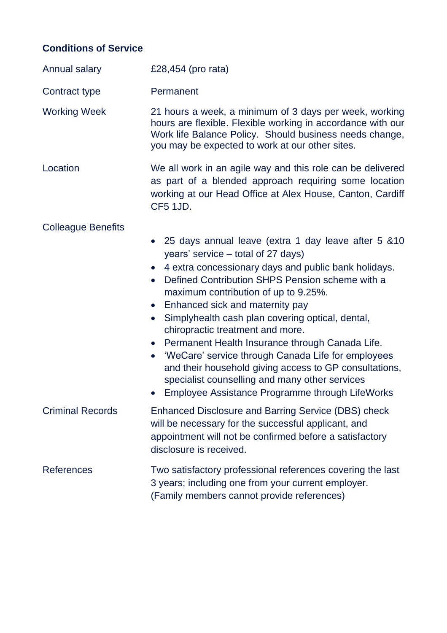# **Conditions of Service**

| Annual salary             | £28,454 (pro rata)                                                                                                                                                                                                                                                                                                                                                                                                                                                                                                                                                                                                                                                                                         |
|---------------------------|------------------------------------------------------------------------------------------------------------------------------------------------------------------------------------------------------------------------------------------------------------------------------------------------------------------------------------------------------------------------------------------------------------------------------------------------------------------------------------------------------------------------------------------------------------------------------------------------------------------------------------------------------------------------------------------------------------|
| Contract type             | Permanent                                                                                                                                                                                                                                                                                                                                                                                                                                                                                                                                                                                                                                                                                                  |
| <b>Working Week</b>       | 21 hours a week, a minimum of 3 days per week, working<br>hours are flexible. Flexible working in accordance with our<br>Work life Balance Policy. Should business needs change,<br>you may be expected to work at our other sites.                                                                                                                                                                                                                                                                                                                                                                                                                                                                        |
| Location                  | We all work in an agile way and this role can be delivered<br>as part of a blended approach requiring some location<br>working at our Head Office at Alex House, Canton, Cardiff<br>CF5 1JD.                                                                                                                                                                                                                                                                                                                                                                                                                                                                                                               |
| <b>Colleague Benefits</b> |                                                                                                                                                                                                                                                                                                                                                                                                                                                                                                                                                                                                                                                                                                            |
|                           | • 25 days annual leave (extra 1 day leave after 5 & 10<br>years' service – total of 27 days)<br>4 extra concessionary days and public bank holidays.<br>Defined Contribution SHPS Pension scheme with a<br>$\bullet$<br>maximum contribution of up to 9.25%.<br>Enhanced sick and maternity pay<br>$\bullet$<br>Simplyhealth cash plan covering optical, dental,<br>$\bullet$<br>chiropractic treatment and more.<br>• Permanent Health Insurance through Canada Life.<br>• 'WeCare' service through Canada Life for employees<br>and their household giving access to GP consultations,<br>specialist counselling and many other services<br>Employee Assistance Programme through LifeWorks<br>$\bullet$ |
| <b>Criminal Records</b>   | Enhanced Disclosure and Barring Service (DBS) check<br>will be necessary for the successful applicant, and<br>appointment will not be confirmed before a satisfactory<br>disclosure is received.                                                                                                                                                                                                                                                                                                                                                                                                                                                                                                           |
| <b>References</b>         | Two satisfactory professional references covering the last<br>3 years; including one from your current employer.<br>(Family members cannot provide references)                                                                                                                                                                                                                                                                                                                                                                                                                                                                                                                                             |